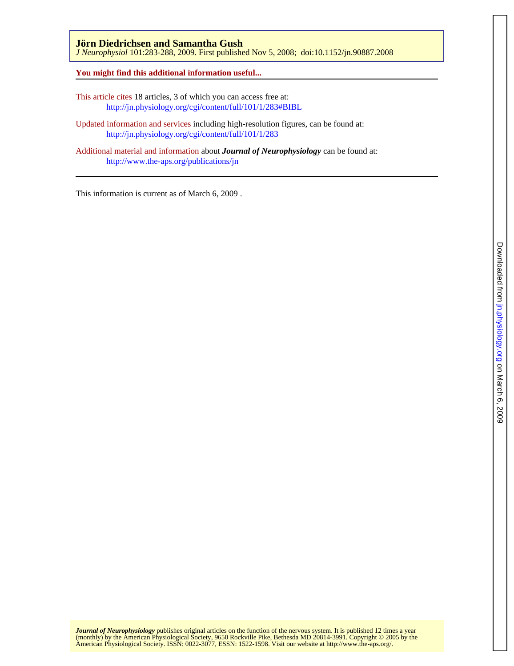## **Jörn Diedrichsen and Samantha Gush**

*J Neurophysiol* 101:283-288, 2009. First published Nov 5, 2008; doi:10.1152/jn.90887.2008

## **You might find this additional information useful...**

- This article cites 18 articles, 3 of which you can access free at: <http://jn.physiology.org/cgi/content/full/101/1/283#BIBL>
- Updated information and services including high-resolution figures, can be found at: <http://jn.physiology.org/cgi/content/full/101/1/283>
- Additional material and information about *Journal of Neurophysiology* can be found at: <http://www.the-aps.org/publications/jn>

This information is current as of March 6, 2009 .

American Physiological Society. ISSN: 0022-3077, ESSN: 1522-1598. Visit our website at [http://www.the-aps.org/.](http://www.the-aps.org/) (monthly) by the American Physiological Society, 9650 Rockville Pike, Bethesda MD 20814-3991. Copyright © 2005 by the *Journal of Neurophysiology* publishes original articles on the function of the nervous system. It is published 12 times a year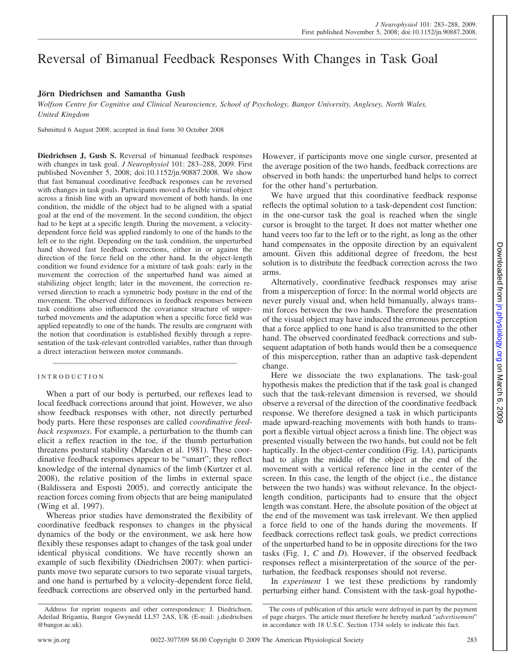# Reversal of Bimanual Feedback Responses With Changes in Task Goal

## **Jörn Diedrichsen and Samantha Gush**

*Wolfson Centre for Cognitive and Clinical Neuroscience, School of Psychology, Bangor University, Anglesey, North Wales, United Kingdom*

Submitted 6 August 2008; accepted in final form 30 October 2008

**Diedrichsen J, Gush S.** Reversal of bimanual feedback responses with changes in task goal. *J Neurophysiol* 101: 283–288, 2009. First published November 5, 2008; doi:10.1152/jn.90887.2008. We show that fast bimanual coordinative feedback responses can be reversed with changes in task goals. Participants moved a flexible virtual object across a finish line with an upward movement of both hands. In one condition, the middle of the object had to be aligned with a spatial goal at the end of the movement. In the second condition, the object had to be kept at a specific length. During the movement, a velocitydependent force field was applied randomly to one of the hands to the left or to the right. Depending on the task condition, the unperturbed hand showed fast feedback corrections, either in or against the direction of the force field on the other hand. In the object-length condition we found evidence for a mixture of task goals: early in the movement the correction of the unperturbed hand was aimed at stabilizing object length; later in the movement, the correction reversed direction to reach a symmetric body posture in the end of the movement. The observed differences in feedback responses between task conditions also influenced the covariance structure of unperturbed movements and the adaptation when a specific force field was applied repeatedly to one of the hands. The results are congruent with the notion that coordination is established flexibly through a representation of the task-relevant controlled variables, rather than through a direct interaction between motor commands.

## INTRODUCTION

When a part of our body is perturbed, our reflexes lead to local feedback corrections around that joint. However, we also show feedback responses with other, not directly perturbed body parts. Here these responses are called *coordinative feedback responses*. For example, a perturbation to the thumb can elicit a reflex reaction in the toe, if the thumb perturbation threatens postural stability (Marsden et al. 1981). These coordinative feedback responses appear to be "smart"; they reflect knowledge of the internal dynamics of the limb (Kurtzer et al. 2008), the relative position of the limbs in external space (Baldissera and Esposti 2005), and correctly anticipate the reaction forces coming from objects that are being manipulated (Wing et al. 1997).

Whereas prior studies have demonstrated the flexibility of coordinative feedback responses to changes in the physical dynamics of the body or the environment, we ask here how flexibly these responses adapt to changes of the task goal under identical physical conditions. We have recently shown an example of such flexibility (Diedrichsen 2007): when participants move two separate cursors to two separate visual targets, and one hand is perturbed by a velocity-dependent force field, feedback corrections are observed only in the perturbed hand. However, if participants move one single cursor, presented at the average position of the two hands, feedback corrections are observed in both hands: the unperturbed hand helps to correct for the other hand's perturbation.

We have argued that this coordinative feedback response reflects the optimal solution to a task-dependent cost function: in the one-cursor task the goal is reached when the single cursor is brought to the target. It does not matter whether one hand veers too far to the left or to the right, as long as the other hand compensates in the opposite direction by an equivalent amount. Given this additional degree of freedom, the best solution is to distribute the feedback correction across the two arms.

Alternatively, coordinative feedback responses may arise from a misperception of force: In the normal world objects are never purely visual and, when held bimanually, always transmit forces between the two hands. Therefore the presentation of the visual object may have induced the erroneous perception that a force applied to one hand is also transmitted to the other hand. The observed coordinated feedback corrections and subsequent adaptation of both hands would then be a consequence of this misperception, rather than an adaptive task-dependent change.

Here we dissociate the two explanations. The task-goal hypothesis makes the prediction that if the task goal is changed such that the task-relevant dimension is reversed, we should observe a reversal of the direction of the coordinative feedback response. We therefore designed a task in which participants made upward-reaching movements with both hands to transport a flexible virtual object across a finish line. The object was presented visually between the two hands, but could not be felt haptically. In the object-center condition (Fig. 1*A*), participants had to align the middle of the object at the end of the movement with a vertical reference line in the center of the screen. In this case, the length of the object (i.e., the distance between the two hands) was without relevance. In the objectlength condition, participants had to ensure that the object length was constant. Here, the absolute position of the object at the end of the movement was task irrelevant. We then applied a force field to one of the hands during the movements. If feedback corrections reflect task goals, we predict corrections of the unperturbed hand to be in opposite directions for the two tasks (Fig. 1, *C* and *D*). However, if the observed feedback responses reflect a misinterpretation of the source of the perturbation, the feedback responses should not reverse.

In *experiment* 1 we test these predictions by randomly perturbing either hand. Consistent with the task-goal hypothe-

Address for reprint requests and other correspondence: J. Diedrichsen, Adeilad Brigantia, Bangor Gwynedd LL57 2AS, UK (E-mail: j.diedrichsen @bangor.ac.uk).

The costs of publication of this article were defrayed in part by the payment of page charges. The article must therefore be hereby marked "*advertisement*" in accordance with 18 U.S.C. Section 1734 solely to indicate this fact.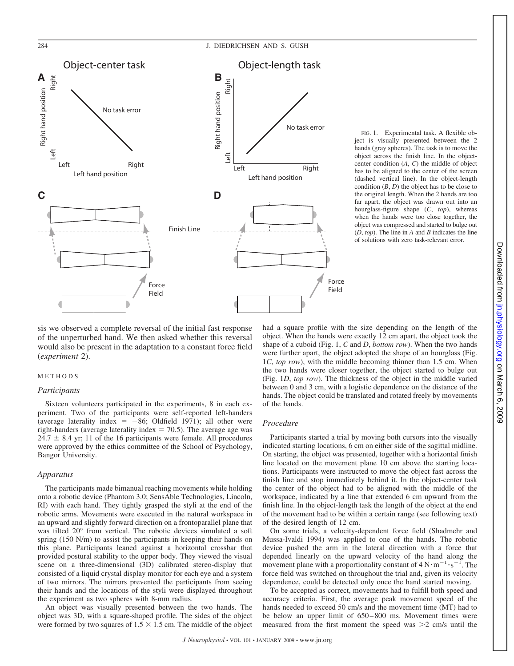

FIG. 1. Experimental task. A flexible object is visually presented between the 2 hands (gray spheres). The task is to move the object across the finish line. In the objectcenter condition (*A*, *C*) the middle of object has to be aligned to the center of the screen (dashed vertical line). In the object-length condition  $(B, D)$  the object has to be close to the original length. When the 2 hands are too far apart, the object was drawn out into an hourglass-figure shape (*C*, *top*), whereas when the hands were too close together, the object was compressed and started to bulge out (*D*, *top*). The line in *A* and *B* indicates the line of solutions with zero task-relevant error.

sis we observed a complete reversal of the initial fast response of the unperturbed hand. We then asked whether this reversal would also be present in the adaptation to a constant force field (*experiment* 2).

#### METHODS

#### *Participants*

Sixteen volunteers participated in the experiments, 8 in each experiment. Two of the participants were self-reported left-handers (average laterality index  $= -86$ ; Oldfield 1971); all other were right-handers (average laterality index  $= 70.5$ ). The average age was  $24.7 \pm 8.4$  yr; 11 of the 16 participants were female. All procedures were approved by the ethics committee of the School of Psychology, Bangor University.

#### *Apparatus*

The participants made bimanual reaching movements while holding onto a robotic device (Phantom 3.0; SensAble Technologies, Lincoln, RI) with each hand. They tightly grasped the styli at the end of the robotic arms. Movements were executed in the natural workspace in an upward and slightly forward direction on a frontoparallel plane that was tilted 20° from vertical. The robotic devices simulated a soft spring (150 N/m) to assist the participants in keeping their hands on this plane. Participants leaned against a horizontal crossbar that provided postural stability to the upper body. They viewed the visual scene on a three-dimensional (3D) calibrated stereo-display that consisted of a liquid crystal display monitor for each eye and a system of two mirrors. The mirrors prevented the participants from seeing their hands and the locations of the styli were displayed throughout the experiment as two spheres with 8-mm radius.

An object was visually presented between the two hands. The object was 3D, with a square-shaped profile. The sides of the object were formed by two squares of  $1.5 \times 1.5$  cm. The middle of the object had a square profile with the size depending on the length of the object. When the hands were exactly 12 cm apart, the object took the shape of a cuboid (Fig. 1, *C* and *D*, *bottom row*). When the two hands were further apart, the object adopted the shape of an hourglass (Fig. 1*C*, *top row*), with the middle becoming thinner than 1.5 cm. When the two hands were closer together, the object started to bulge out (Fig. 1*D*, *top row*). The thickness of the object in the middle varied between 0 and 3 cm, with a logistic dependence on the distance of the hands. The object could be translated and rotated freely by movements of the hands.

#### *Procedure*

Participants started a trial by moving both cursors into the visually indicated starting locations, 6 cm on either side of the sagittal midline. On starting, the object was presented, together with a horizontal finish line located on the movement plane 10 cm above the starting locations. Participants were instructed to move the object fast across the finish line and stop immediately behind it. In the object-center task the center of the object had to be aligned with the middle of the workspace, indicated by a line that extended 6 cm upward from the finish line. In the object-length task the length of the object at the end of the movement had to be within a certain range (see following text) of the desired length of 12 cm.

On some trials, a velocity-dependent force field (Shadmehr and Mussa-Ivaldi 1994) was applied to one of the hands. The robotic device pushed the arm in the lateral direction with a force that depended linearly on the upward velocity of the hand along the movement plane with a proportionality constant of  $4 N \cdot m^{-1} \cdot s^{-1}$ . The force field was switched on throughout the trial and, given its velocity dependence, could be detected only once the hand started moving.

To be accepted as correct, movements had to fulfill both speed and accuracy criteria. First, the average peak movement speed of the hands needed to exceed 50 cm/s and the movement time (MT) had to be below an upper limit of 650 – 800 ms. Movement times were measured from the first moment the speed was  $>2$  cm/s until the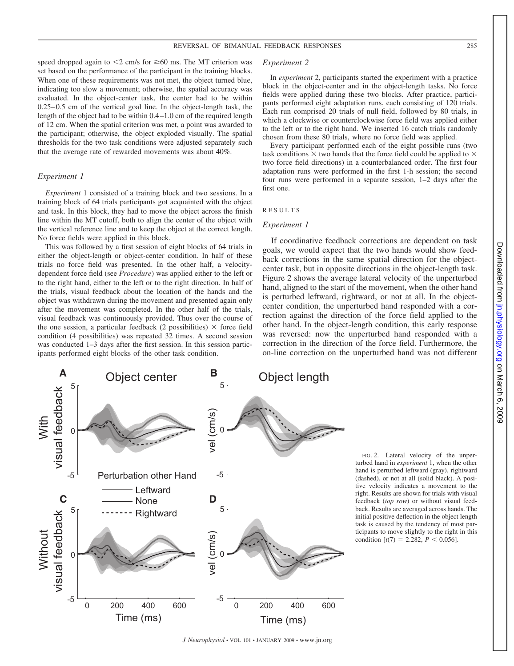speed dropped again to  $\leq$ 2 cm/s for  $\geq$ 60 ms. The MT criterion was set based on the performance of the participant in the training blocks. When one of these requirements was not met, the object turned blue, indicating too slow a movement; otherwise, the spatial accuracy was evaluated. In the object-center task, the center had to be within 0.25– 0.5 cm of the vertical goal line. In the object-length task, the length of the object had to be within 0.4 –1.0 cm of the required length of 12 cm. When the spatial criterion was met, a point was awarded to the participant; otherwise, the object exploded visually. The spatial thresholds for the two task conditions were adjusted separately such that the average rate of rewarded movements was about 40%.

#### *Experiment 1*

*Experiment* 1 consisted of a training block and two sessions. In a training block of 64 trials participants got acquainted with the object and task. In this block, they had to move the object across the finish line within the MT cutoff, both to align the center of the object with the vertical reference line and to keep the object at the correct length. No force fields were applied in this block.

This was followed by a first session of eight blocks of 64 trials in either the object-length or object-center condition. In half of these trials no force field was presented. In the other half, a velocitydependent force field (see *Procedure*) was applied either to the left or to the right hand, either to the left or to the right direction. In half of the trials, visual feedback about the location of the hands and the object was withdrawn during the movement and presented again only after the movement was completed. In the other half of the trials, visual feedback was continuously provided. Thus over the course of the one session, a particular feedback (2 possibilities)  $\times$  force field condition (4 possibilities) was repeated 32 times. A second session was conducted 1–3 days after the first session. In this session participants performed eight blocks of the other task condition.

#### *Experiment 2*

In *experiment* 2, participants started the experiment with a practice block in the object-center and in the object-length tasks. No force fields were applied during these two blocks. After practice, participants performed eight adaptation runs, each consisting of 120 trials. Each run comprised 20 trials of null field, followed by 80 trials, in which a clockwise or counterclockwise force field was applied either to the left or to the right hand. We inserted 16 catch trials randomly chosen from these 80 trials, where no force field was applied.

Every participant performed each of the eight possible runs (two task conditions  $\times$  two hands that the force field could be applied to  $\times$ two force field directions) in a counterbalanced order. The first four adaptation runs were performed in the first 1-h session; the second four runs were performed in a separate session, 1–2 days after the first one.

### RESULTS

#### *Experiment 1*

If coordinative feedback corrections are dependent on task goals, we would expect that the two hands would show feedback corrections in the same spatial direction for the objectcenter task, but in opposite directions in the object-length task. Figure 2 shows the average lateral velocity of the unperturbed hand, aligned to the start of the movement, when the other hand is perturbed leftward, rightward, or not at all. In the objectcenter condition, the unperturbed hand responded with a correction against the direction of the force field applied to the other hand. In the object-length condition, this early response was reversed: now the unperturbed hand responded with a correction in the direction of the force field. Furthermore, the on-line correction on the unperturbed hand was not different



FIG. 2. Lateral velocity of the unperturbed hand in *experiment* 1, when the other hand is perturbed leftward (gray), rightward (dashed), or not at all (solid black). A positive velocity indicates a movement to the right. Results are shown for trials with visual feedback (*top row*) or without visual feedback. Results are averaged across hands. The initial positive deflection in the object length task is caused by the tendency of most participants to move slightly to the right in this condition  $[t(7) = 2.282, P \le 0.056]$ .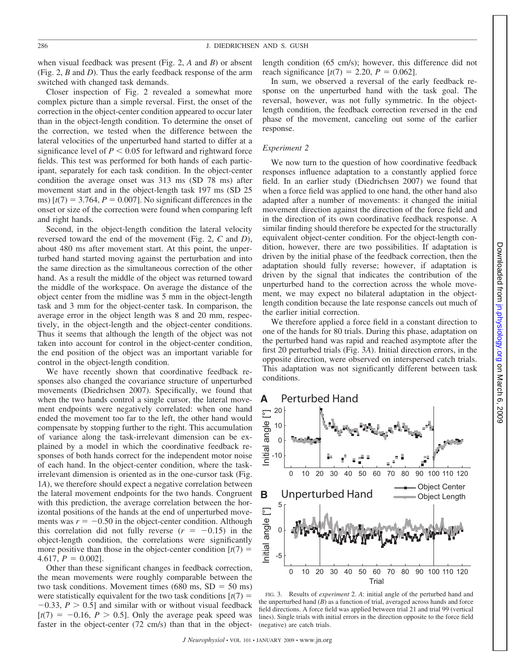when visual feedback was present (Fig. 2, *A* and *B*) or absent (Fig. 2, *B* and *D*). Thus the early feedback response of the arm switched with changed task demands.

Closer inspection of Fig. 2 revealed a somewhat more complex picture than a simple reversal. First, the onset of the correction in the object-center condition appeared to occur later than in the object-length condition. To determine the onset of the correction, we tested when the difference between the lateral velocities of the unperturbed hand started to differ at a significance level of  $P \leq 0.05$  for leftward and rightward force fields. This test was performed for both hands of each participant, separately for each task condition. In the object-center condition the average onset was 313 ms (SD 78 ms) after movement start and in the object-length task 197 ms (SD 25 ms)  $[t(7) = 3.764, P = 0.007]$ . No significant differences in the onset or size of the correction were found when comparing left and right hands.

Second, in the object-length condition the lateral velocity reversed toward the end of the movement (Fig. 2, *C* and *D*), about 480 ms after movement start. At this point, the unperturbed hand started moving against the perturbation and into the same direction as the simultaneous correction of the other hand. As a result the middle of the object was returned toward the middle of the workspace. On average the distance of the object center from the midline was 5 mm in the object-length task and 3 mm for the object-center task. In comparison, the average error in the object length was 8 and 20 mm, respectively, in the object-length and the object-center conditions. Thus it seems that although the length of the object was not taken into account for control in the object-center condition, the end position of the object was an important variable for control in the object-length condition.

We have recently shown that coordinative feedback responses also changed the covariance structure of unperturbed movements (Diedrichsen 2007). Specifically, we found that when the two hands control a single cursor, the lateral movement endpoints were negatively correlated: when one hand ended the movement too far to the left, the other hand would compensate by stopping further to the right. This accumulation of variance along the task-irrelevant dimension can be explained by a model in which the coordinative feedback responses of both hands correct for the independent motor noise of each hand. In the object-center condition, where the taskirrelevant dimension is oriented as in the one-cursor task (Fig. 1*A*), we therefore should expect a negative correlation between the lateral movement endpoints for the two hands. Congruent with this prediction, the average correlation between the horizontal positions of the hands at the end of unperturbed movements was  $r = -0.50$  in the object-center condition. Although this correlation did not fully reverse  $(r = -0.15)$  in the object-length condition, the correlations were significantly more positive than those in the object-center condition  $[t(7) =$ 4.617,  $P = 0.002$ ].

Other than these significant changes in feedback correction, the mean movements were roughly comparable between the two task conditions. Movement times  $(680 \text{ ms}, SD = 50 \text{ ms})$ were statistically equivalent for the two task conditions  $[t(7)] =$  $-0.33$ ,  $P > 0.5$ ] and similar with or without visual feedback  $[t(7) = -0.16, P > 0.5]$ . Only the average peak speed was faster in the object-center (72 cm/s) than that in the objectlength condition (65 cm/s); however, this difference did not reach significance  $[t(7) = 2.20, P = 0.062]$ .

In sum, we observed a reversal of the early feedback response on the unperturbed hand with the task goal. The reversal, however, was not fully symmetric. In the objectlength condition, the feedback correction reversed in the end phase of the movement, canceling out some of the earlier response.

#### *Experiment 2*

We now turn to the question of how coordinative feedback responses influence adaptation to a constantly applied force field. In an earlier study (Diedrichsen 2007) we found that when a force field was applied to one hand, the other hand also adapted after a number of movements: it changed the initial movement direction against the direction of the force field and in the direction of its own coordinative feedback response. A similar finding should therefore be expected for the structurally equivalent object-center condition. For the object-length condition, however, there are two possibilities. If adaptation is driven by the initial phase of the feedback correction, then the adaptation should fully reverse; however, if adaptation is driven by the signal that indicates the contribution of the unperturbed hand to the correction across the whole movement, we may expect no bilateral adaptation in the objectlength condition because the late response cancels out much of the earlier initial correction.

We therefore applied a force field in a constant direction to one of the hands for 80 trials. During this phase, adaptation on the perturbed hand was rapid and reached asymptote after the first 20 perturbed trials (Fig. 3*A*). Initial direction errors, in the opposite direction, were observed on interspersed catch trials. This adaptation was not significantly different between task conditions.

#### **A** Perturbed Hand



FIG. 3. Results of *experiment* 2. *A*: initial angle of the perturbed hand and the unperturbed hand  $(B)$  as a function of trial, averaged across hands and force field directions. A force field was applied between trial 21 and trial 99 (vertical lines). Single trials with initial errors in the direction opposite to the force field (negative) are catch trials.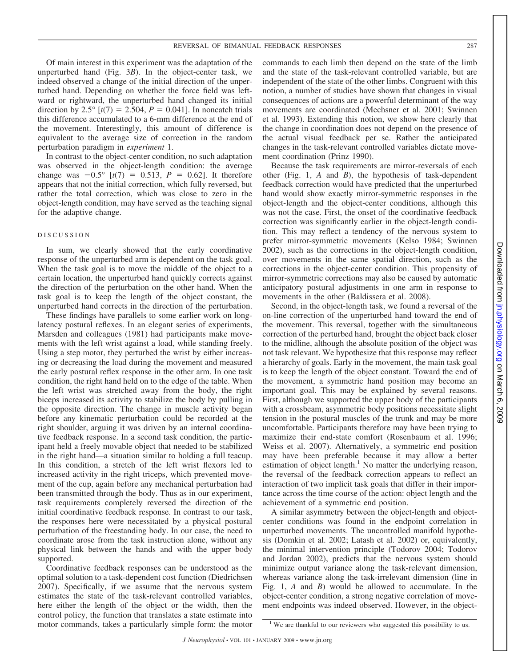#### REVERSAL OF BIMANUAL FEEDBACK RESPONSES 287

Of main interest in this experiment was the adaptation of the unperturbed hand (Fig. 3*B*). In the object-center task, we indeed observed a change of the initial direction of the unperturbed hand. Depending on whether the force field was leftward or rightward, the unperturbed hand changed its initial direction by 2.5°  $[t(7) = 2.504, P = 0.041]$ . In noncatch trials this difference accumulated to a 6-mm difference at the end of the movement. Interestingly, this amount of difference is equivalent to the average size of correction in the random perturbation paradigm in *experiment* 1.

In contrast to the object-center condition, no such adaptation was observed in the object-length condition: the average change was  $-0.5^{\circ}$  [ $t(7) = 0.513$ ,  $P = 0.62$ ]. It therefore appears that not the initial correction, which fully reversed, but rather the total correction, which was close to zero in the object-length condition, may have served as the teaching signal for the adaptive change.

#### DISCUSSION

In sum, we clearly showed that the early coordinative response of the unperturbed arm is dependent on the task goal. When the task goal is to move the middle of the object to a certain location, the unperturbed hand quickly corrects against the direction of the perturbation on the other hand. When the task goal is to keep the length of the object constant, the unperturbed hand corrects in the direction of the perturbation.

These findings have parallels to some earlier work on longlatency postural reflexes. In an elegant series of experiments, Marsden and colleagues (1981) had participants make movements with the left wrist against a load, while standing freely. Using a step motor, they perturbed the wrist by either increasing or decreasing the load during the movement and measured the early postural reflex response in the other arm. In one task condition, the right hand held on to the edge of the table. When the left wrist was stretched away from the body, the right biceps increased its activity to stabilize the body by pulling in the opposite direction. The change in muscle activity began before any kinematic perturbation could be recorded at the right shoulder, arguing it was driven by an internal coordinative feedback response. In a second task condition, the participant held a freely movable object that needed to be stabilized in the right hand—a situation similar to holding a full teacup. In this condition, a stretch of the left wrist flexors led to increased activity in the right triceps, which prevented movement of the cup, again before any mechanical perturbation had been transmitted through the body. Thus as in our experiment, task requirements completely reversed the direction of the initial coordinative feedback response. In contrast to our task, the responses here were necessitated by a physical postural perturbation of the freestanding body. In our case, the need to coordinate arose from the task instruction alone, without any physical link between the hands and with the upper body supported.

Coordinative feedback responses can be understood as the optimal solution to a task-dependent cost function (Diedrichsen 2007). Specifically, if we assume that the nervous system estimates the state of the task-relevant controlled variables, here either the length of the object or the width, then the control policy, the function that translates a state estimate into motor commands, takes a particularly simple form: the motor commands to each limb then depend on the state of the limb and the state of the task-relevant controlled variable, but are independent of the state of the other limbs. Congruent with this notion, a number of studies have shown that changes in visual consequences of actions are a powerful determinant of the way movements are coordinated (Mechsner et al. 2001; Swinnen et al. 1993). Extending this notion, we show here clearly that the change in coordination does not depend on the presence of the actual visual feedback per se. Rather the anticipated changes in the task-relevant controlled variables dictate movement coordination (Prinz 1990).

Because the task requirements are mirror-reversals of each other (Fig. 1, *A* and *B*), the hypothesis of task-dependent feedback correction would have predicted that the unperturbed hand would show exactly mirror-symmetric responses in the object-length and the object-center conditions, although this was not the case. First, the onset of the coordinative feedback correction was significantly earlier in the object-length condition. This may reflect a tendency of the nervous system to prefer mirror-symmetric movements (Kelso 1984; Swinnen 2002), such as the corrections in the object-length condition, over movements in the same spatial direction, such as the corrections in the object-center condition. This propensity of mirror-symmetric corrections may also be caused by automatic anticipatory postural adjustments in one arm in response to movements in the other (Baldissera et al. 2008).

Second, in the object-length task, we found a reversal of the on-line correction of the unperturbed hand toward the end of the movement. This reversal, together with the simultaneous correction of the perturbed hand, brought the object back closer to the midline, although the absolute position of the object was not task relevant. We hypothesize that this response may reflect a hierarchy of goals. Early in the movement, the main task goal is to keep the length of the object constant. Toward the end of the movement, a symmetric hand position may become an important goal. This may be explained by several reasons. First, although we supported the upper body of the participants with a crossbeam, asymmetric body positions necessitate slight tension in the postural muscles of the trunk and may be more uncomfortable. Participants therefore may have been trying to maximize their end-state comfort (Rosenbaum et al. 1996; Weiss et al. 2007). Alternatively, a symmetric end position may have been preferable because it may allow a better estimation of object length.<sup>1</sup> No matter the underlying reason, the reversal of the feedback correction appears to reflect an interaction of two implicit task goals that differ in their importance across the time course of the action: object length and the achievement of a symmetric end position.

A similar asymmetry between the object-length and objectcenter conditions was found in the endpoint correlation in unperturbed movements. The uncontrolled manifold hypothesis (Domkin et al. 2002; Latash et al. 2002) or, equivalently, the minimal intervention principle (Todorov 2004; Todorov and Jordan 2002), predicts that the nervous system should minimize output variance along the task-relevant dimension, whereas variance along the task-irrelevant dimension (line in Fig. 1, *A* and *B*) would be allowed to accumulate. In the object-center condition, a strong negative correlation of movement endpoints was indeed observed. However, in the object-

<sup>&</sup>lt;sup>1</sup> We are thankful to our reviewers who suggested this possibility to us.